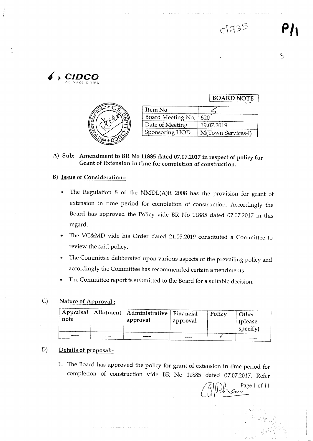BOARD NOTE





| Item No           |                    |
|-------------------|--------------------|
| Board Meeting No. | 620                |
| Date of Meeting   | 19.07.2019         |
| Sponsoring HOD    | M(Town Services-I) |

A) Sub: Amendment to BR No 11885 dated 07.07.2017 in respect of policy for Grant of Extension in time for completion of construction.

#### B) Issue of Consideration.-

- The Regulation 8 of the NMDL(A)R 2008 has the provision for grant of extension in time period for completion of construction. Accordingly the Board has approved the Policy vide BR No 11885 dated 07.07.2017 in this regard.
- The VC&MD vide his Order dated 21.05.2019 constituted a Committee to review the said policy.
- The Committee deliberated upon various aspects of the prevailing policy and accordingly the Committee has recommended certain amendments
- The Committee report is submitted to the Board for a suitable decision.

#### C) Nature of Approval:

| note |      | Appraisal   Allotment   Administrative   Financial<br>approval | approval | Policy | Other<br>(please<br>$\sum_{\text{specificity}}$ |
|------|------|----------------------------------------------------------------|----------|--------|-------------------------------------------------|
| ---- | ---- | ----                                                           | ----     |        | -----                                           |

#### D) Details of proposal:-

1. The Board has approved the policy for grant of extension in time period for completion of construction vide BR No 11885 dated 07.07.2017. Refer

Page 1 of 11  $\mathcal{L}_{\mathbf{r}}$  $\mathbb{Z}^{\mathbb{Z}}$ 

, i ...I I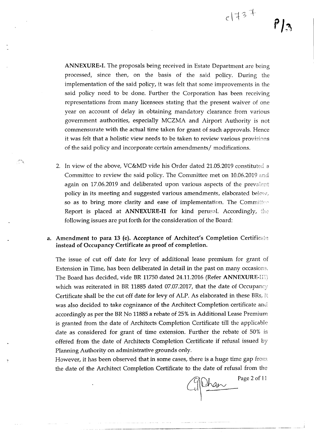*PJ~*

ANNEXURE-I. The proposals being received in Estate Department are being processed, since then, on the basis of the said policy. During the implementation of the said policy, it was felt that some improvements in the said policy need to be done. Further the Corporation has been receiving representations from many licensees stating that the present waiver of one

year on account of delay in obtaining mandatory clearance from various government authorities, especially MCZMA and Airport Authority is not commensurate with the actual time taken for grant of such approvals. Hence it was felt that a holistic view needs to be taken to review various provisions of the said policy and incorporate certain amendments/ modifications.

2. In view of the above, VC&MD vide his Order dated 21.05.2019 constituted a Committee to review the said policy. The Committee met on 10.06.2019 and again on 17.06.2019 and deliberated upon various aspects of the prevalent policy in its meeting and suggested various amendments, elaborated below, so as to bring more clarity and ease of implementation. The Committee Report is placed at ANNEXURE-II for kind perusal. Accordingly, the following issues are put forth for the consideration of the Board:

فترين

#### a. Amendment to para 13 (e). Acceptance of Architect's Completion Certificate instead of Occupancy Certificate as proof of completion.

The issue of cut off date for levy of additional lease premium for grant of Extension in Time, has been deliberated in detail in the past on many occasions. The Board has decided, vide BR 11750 dated 24.11.2016 (Refer ANNEXURE-III) which was reiterated in BR 11885 dated 07.07.2017, that the date of Occupancy Certificate shall be the cut off date for levy of ALP. As elaborated in these BRs, it was also decided to take cognizance of the Architect Completion certificate and accordingly as per the BR No 11885 a rebate of 25% in Additional Lease Premium is granted from the date of Architects Completion Certificate till the applicable date as considered for grant of time extension. Further the rebate of 50% is offered from the date of Architects Completion Certificate if refusal issued by Planning Authority on administrative grounds only.

However, it has been observed that in some cases, there is a huge time gap from the date of the Architect Completion Certificate to the date of refusal from the

Page 2 of 11

---\_.\_------\_.\_-------------------- .----.- .... \_-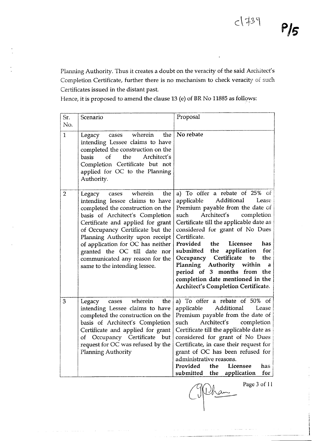Planning Authority. Thus it creates a doubt on the veracity of the said Architect's Completion Certificate, further there is no mechanism to check veracity of such Certificates issued in the distant past.

Hence, it is proposed to amend the clause 13 (e) of BR No 11885 as follows:

| Sr.<br>No.     | Scenario                                                                                                                                                                                                                                                                                                                                                                                          | Proposal                                                                                                                                                                                                                                                                                                                                                                                                                                                                                                                     |
|----------------|---------------------------------------------------------------------------------------------------------------------------------------------------------------------------------------------------------------------------------------------------------------------------------------------------------------------------------------------------------------------------------------------------|------------------------------------------------------------------------------------------------------------------------------------------------------------------------------------------------------------------------------------------------------------------------------------------------------------------------------------------------------------------------------------------------------------------------------------------------------------------------------------------------------------------------------|
| 1              | wherein<br>the<br>Legacy<br>cases<br>intending Lessee claims to have<br>completed the construction on the<br>basis<br>$\alpha$ f<br>the<br>Architect's<br>Completion Certificate but not<br>applied for OC to the Planning<br>Authority.                                                                                                                                                          | No rebate                                                                                                                                                                                                                                                                                                                                                                                                                                                                                                                    |
| $\overline{2}$ | wherein<br>the<br>Legacy<br>cases<br>intending lessee claims to have<br>completed the construction on the<br>basis of Architect's Completion<br>Certificate and applied for grant<br>of Occupancy Certificate but the<br>Planning Authority upon receipt<br>of application for OC has neither<br>granted the OC till date nor<br>communicated any reason for the<br>same to the intending lessee. | a) To offer a rebate of 25% of<br>Additional<br>applicable<br>Lease<br>Premium payable from the date of<br>Architect's<br>completion<br>such<br>Certificate till the applicable date as<br>considered for grant of No Dues<br>Certificate.<br>Provided<br>the<br>Licensee<br>has<br>for<br>the<br>application<br>submitted<br>Certificate<br>the<br>Occupancy<br>to<br>Authority<br>within<br>Planning<br>a<br>period of 3 months from the<br>completion date mentioned in the<br><b>Architect's Completion Certificate.</b> |
| 3              | wherein<br>the<br>Legacy<br>cases<br>intending Lessee claims to have<br>completed the construction on the<br>basis of Architect's Completion<br>Certificate and applied for grant<br>of Occupancy Certificate but<br>request for OC was refused by the<br>Planning Authority                                                                                                                      | a) To offer a rebate of 50% of<br>applicable<br>Additional<br>Lease<br>Premium payable from the date of<br>such<br>Architect's<br>completion<br>Certificate till the applicable date as<br>considered for grant of No Dues<br>Certificate, in case their request for<br>grant of OC has been refused for<br>administrative reasons.<br>Provided<br>the<br>Licensee<br>has<br>submitted the<br>application<br>for                                                                                                             |

Page 3 of II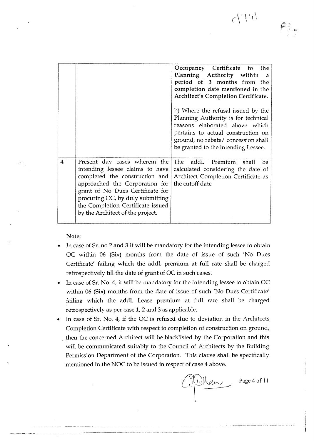|                |                                                                                                                                                                                                                                                                                       | Occupancy Certificate to the<br>Planning Authority within a<br>period of 3 months from the<br>completion date mentioned in the<br><b>Architect's Completion Certificate.</b><br>b) Where the refusal issued by the<br>Planning Authority is for technical<br>reasons elaborated above which<br>pertains to actual construction on<br>ground, no rebate/ concession shall<br>be granted to the intending Lessee. |
|----------------|---------------------------------------------------------------------------------------------------------------------------------------------------------------------------------------------------------------------------------------------------------------------------------------|-----------------------------------------------------------------------------------------------------------------------------------------------------------------------------------------------------------------------------------------------------------------------------------------------------------------------------------------------------------------------------------------------------------------|
| $\overline{4}$ | Present day cases wherein the<br>intending lessee claims to have<br>completed the construction and<br>approached the Corporation for<br>grant of No Dues Certificate for<br>procuring OC, by duly submitting<br>the Completion Certificate issued<br>by the Architect of the project. | The addl. Premium shall<br>be<br>calculated considering the date of<br>Architect Completion Certificate as<br>the cutoff date                                                                                                                                                                                                                                                                                   |

Note:

- In case of Sr. no 2 and 3 it will be mandatory for the intending lessee to obtain OC within 06 (Six) months from the date of issue of such 'No Dues Certificate' failing which the addl. premium at full rate shall be charged retrospectively till the date of grant of OC in such cases.
- In case of Sr. No. 4, it will be mandatory for the intending lessee to obtain OC within 06 (Six) months from the date of issue of such 'No Dues Certificate' failing which the addl. Lease premium at full rate shall be charged retrospectively as per case 1, 2 and 3 as applicable.
- In case of Sr. No. 4, if the OC is refused due to deviation in the Architects Completion Certificate with respect to completion of construction on ground, . then the concerned Architect will be blacklisted by the Corporation and this will be communicated suitably to the Council of Architects by the Building Permission Department of the Corporation. This clause shall *be* specifically mentioned in the NOC to be issued in respect of case 4 above.

Malan

Page 4 of 11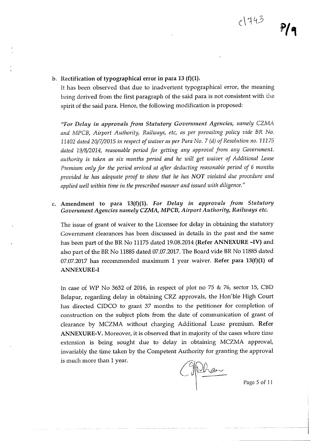It has been observed that due to inadvertent typographical error, the meaning being derived from the first paragraph of the said para is not consistent with the spirit of the said para. Hence, the following modification is proposed:

*"For Delay in approvals from Statutory Gouemment Agencies, namely CZMA and MPCB, Airport Authority, Railways, etc, as per prevailing policy vide* B1<. *No. 11402 dated 20/7/2015 in respect of waiver as per Para No.7 (d) of Resolution no. 11175 dated 19/8/2014, reasonable period for getting any approval from any Government. authority is taken as six months period and he will get waiver of Additional Lease Premium only for the period arrived at after deducting reasonable period of* 6 *months provided he has adequate proof to show that he has NOT violated due procedure and applied well within time in the prescribed manner and issued with diligence."*

### c. Amendment to para 13(f)(1). *For Delay in approvals from Statutory Government Agencies namely CZMA, MPCB, Airport Authority, Railways etc.*

The issue of grant of waiver to the Licensee for delay in obtaining the statutory Government clearances has been discussed in details in the past and the same has been part of the BR No 11175 dated 19.08.2014 (Refer ANNEXURE -IV) and also part of the BR No 11885 dated 07.07.2017. The Board vide BR No 11885 dated 07.07.2017 has recommended maximum 1 year waiver. Refer para  $13(f)(1)$  of ANNEXURE-I

In case of WP No 3632 of 2016, in respect of plot no  $75 \& 76$ , sector 15, CBD Belapur, regarding delay in obtaining CRZ approvals, the Hon'ble High Court has directed CIDCO to grant 37 months to the petitioner for completion of construction on the subject plots from the date of communication of grant of clearance by MCZMA without charging Additional Lease premium. Refer ANNEXURE-V. Moreover, it is observed that in majority of the cases where time extension is being sought due to delay in obtaining MCZMA approval, invariably the time taken by the Competent Authority for granting the approval is much more than 1 year.

Michan

Page 5 of 11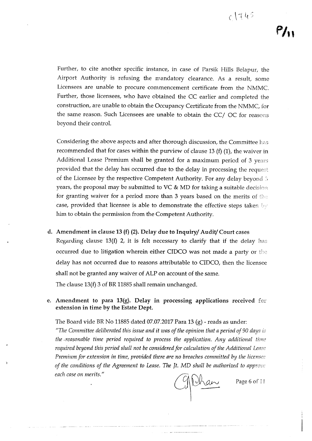Further, to cite another specific instance, in case of Parsik Hills Belapur, the Airport Authority is refusing the mandatory clearance. As a result, some Licensees are unable to procure commencement certificate from the NMMC. Further, those licensees, who have obtained the CC earlier and completed the construction, are unable to obtain the Occupancy Certificate from the NMMC, for the same reason. Such Licensees are unable to obtain the CC $/$  OC for reasons beyond their controL

Considering the above aspects and after thorough discussion, the Committee recommended that for cases within the purview of clause 13 (f) (1), the waiver in Additional Lease Premium shall be granted for a maximum period of 3 years provided that the delay has occurred due to the delay in processing the request of the Licensee by the respective Competent Authority. For any delay beyond  $\delta$ years, the proposal may be submitted to VC & MD for taking a suitable decision for granting waiver for a period more than 3 years based on the merits of the case, provided that licensee is able to demonstrate the effective steps taken by him to obtain the permission from the Competent Authority.

### d. Amendment in clause 13 (f) (2). Delay due to Inquiry/ Audit/ Court cases

Regarding clause 13(f) 2, it is felt necessary to clarify that if the delay has occurred due to litigation wherein either CIDCO was not made a party or the delay has not occurred due to reasons attributable to CIDCO, then the licensee shall not be granted any waiver of ALP on account of the same. The clause  $13(f)$  3 of BR 11885 shall remain unchanged.

#### e. Amendment to para  $13(g)$ . Delay in processing applications received for extension in time by the Estate Dept.

The Board vide BR No 11885 dated 07.07.2017 Para 13  $(g)$  - reads as under:

*"The* Committee *deliberated this issue and it was of the opinion that a period of 90 days is the <reasonabletime period required to process the application. Any additional required beyond this period shall not be consideredfor calculation of the Additional Lease Premium for extension in time, provided there are no breaches committed by the licensee of* the conditions of the Agreement to Lease. The Jt. MD shall be authorized to approve  $each$  *case on merits."* 

glihan

Page 6 of 11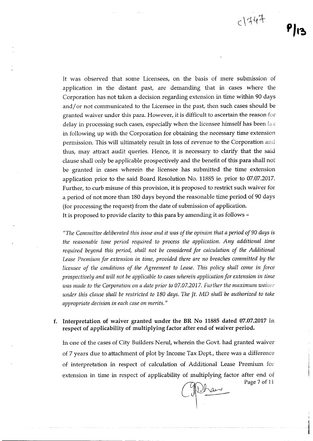$c1447$ 

It was observed that some Licensees, on the basis of mere submission of application in the distant past, are demanding that in cases where the Corporation has not taken a decision regarding extension in time within 90 days and/ or not communicated to the Licensee in the past, then such cases should be granted waiver under this para. However, it is difficult to ascertain the reason for delay in processing such cases, especially when the licensee himself has been  $\text{law}$ in following up with the Corporation for obtaining the necessary time extension permission. This will ultimately result in loss of revenue to the Corporation and thus, may attract audit queries. Hence, it is necessary to clarify that the said clause shall only be applicable prospectively and the benefit of this para shall not be granted in cases wherein the licensee has submitted the time extension application prior to the said Board Resolution No. 11885 ie. prior to 07.07.2017. Further, to curb misuse of this provision, it is proposed to restrict such waiver for a period of not more than 180 days beyond the reasonable time period of 90 days (for processing the request) from the date of submission of application. It is proposed to provide clarity to this para by amending it as follows -

*"The Committee deliberated this issue and it was of the opinion that a period of 90 days* is *the reasonable time period required to process the application. Any additional time required beyond this period, shall not be considered for calculation of the Additional Lease Premium for extension in time, provided there are no breaches committed by the licensee of the conditions of the Agreement to Lease. This policy shall come in force prospectively and will not be applicable to caseswherein application for extension in time was made to the Corporationon a date prior to 07.07.2017. Further the maximum waiver under this clause shall be restricted to 180 days. The Jt.* MD *shall be authorized to take appropriate decision in each case on merits. /I*

#### f. Interpretation of waiver granted under the **BR** No 11885 dated 07.07.2017 in respect of applicability of multiplying factor after end of waiver period.

In one of the cases of City Builders Nerul, wherein the Govt. had granted waiver of 7 years due to attachment of plot by Income Tax Dept., there was a difference of interpretation in respect of calculation of Additional Lease Premium extension in time in respect of applicability of multiplying factor after end of Page 7 of II

Whan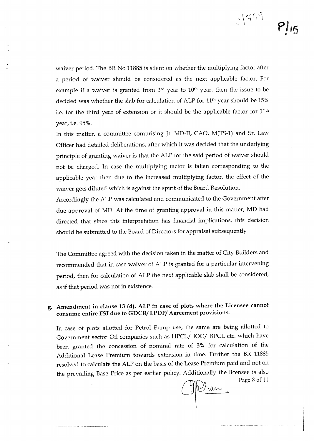waiver period. The BR No 11885 is silent on whether the multiplying factor after a period of waiver should be considered as the next applicable factor, For example if a waiver is granted from 3<sup>rd</sup> year to 10<sup>th</sup> year, then the issue to be decided was whether the slab for calculation of ALP for 11th year should be 15% i.e. for the third year of extension or it should be the applicable factor for  $11<sup>th</sup>$ year, i.e. 95%.

In this matter, a committee comprising [t, MD-II, CAO, M(TS-1) and Sr. Law Officer had detailed deliberations, after which it was decided that the underlying principle of granting waiver is that the ALP for the said period of waiver should not be charged. In case the multiplying factor is taken corresponding to the applicable year then due to the increased multiplying factor, the effect of the waiver gets diluted which is against the spirit of the Board Resolution.

Accordingly the ALP was calculated and communicated to the Government after due approval of MD. At the time of granting approval in this matter, MD had directed that since this interpretation has financial implications, this decision should be submitted to the Board of Directors for appraisal subsequently

The Committee agreed with the decision taken in the matter of City Builders and recommended that in case waiver of ALP is granted for a particular intervening period, then for calculation of ALP the next applicable slab shall be considered, as if that period was not in existence.

### g. Amendment in clause 13 (d). ALP in case of plots where the Licensee cannot consume entire FSI due to GDCR/ LPDP/ Agreement provisions.

In case of plots allotted for Petrol Pump use, the same are being allotted to Government sector Oil companies such as HPCL/ IOC/ BPCL etc. which have been granted the concession of nominal rate of 3% for calculation of the Additional Lease Premium towards extension in time. Further the BR 11885 resolved to calculate the ALP on the basis of the Lease Premium paid and not on the prevailing Base Price as per earlier policy. Additionally the licensee is also

Page 8 of 11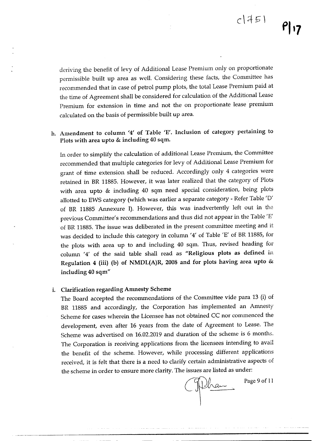deriving the benefit of levy of Additional Lease Premium only on proportionate permissible built up area as well. Considering these facts, the Committee has recommended that in case of petrol pump plots, the total Lease Premium paid at the time of Agreement shall be considered for calculation of the Additional Lease Premium for extension in time and not the on proportionate lease premium calculated on the basis of permissible built up area.

## h. Amendment to column *14'* of Table 'E'. Inclusion of category pertaining to Plots with area upto & including 40 sqm.

In order to simplify the calculation of additional Lease Premium, the Committee recommended that multiple categories for levy of Additional Lease Premium for grant of time extension shall be reduced. Accordingly only 4 categories were retained in BR 11885. However, it was later realized that the category of Plots with area upto & including 40 sqm need special consideration, being plots allotted to EWS category (which was earlier a separate category - Refer Table '0' of BR 11885 Annexure I). However, this was inadvertently left out in the previous Committee's recommendations and thus did not appear in the Table 'E' of BR 11885. The issue was deliberated in the present committee meeting and it was decided to include this category in column '4' of Table *'E'* of BR 11885, for the plots with area up to and including 40 sqm. Thus, revised heading for column '4' of the said table shall read as "Religious plots as defined in Regulation 4 (iii) (b) of NMDL(A)R, 2008 and for plots having area upto  $&$ including 40 sqm"

### i. Clarification regarding Anmesty Scheme

The Board accepted the recommendations of the Committee vide para 13 (i) of BR 11885 and accordingly, the Corporation has implemented an Amnesty Scheme for cases wherein the Licensee has not obtained CC nor commenced the development, even after 16 years from the date of Agreement to Lease. The Scheme was advertised on 16.02.2019 and duration of the scheme is 6 months. 'The Corporation is receiving applications from the licensees intending to avail the benefit of the scheme. However, while processing different applications received, it is felt that there is a need to clarify certain administrative aspects of the scheme in order to ensure more clarity. The issues are listed as under:

Tilhan

Page 9 of 11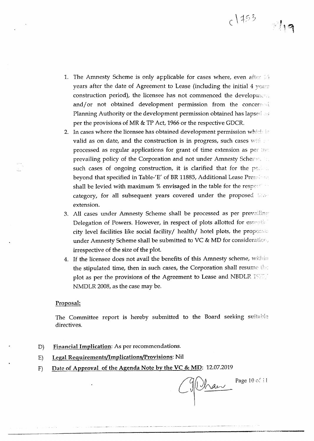1. The Amnesty Scheme is only applicable for cases where, even after  $\mathbb{I}5$ years after the date of Agreement to Lease (including the initial 4 years construction period), the licensee has not commenced the development and/or not obtained development permission from the concerned Planning Authority or the development permission obtained has lapsed as per the provisions of MR & TP Act, 1966 or the respective GDCR.

- 2. In cases where the licensee has obtained development permission which in valid as on date, and the construction is in progress, such cases will be processed as regular applications for grant of time extension as per the prevailing policy of the Corporation and not under Amnesty Scheme. The such cases of ongoing construction, it is clarified that for the period beyond that specified in Table-'E' of BR 11885, Additional Lease Premisses shall be levied with maximum % envisaged in the table for the respectively category, for all subsequent years covered under the proposed the extension.
- 3. All cases under Amnesty Scheme shall be processed as per prevailing Delegation of Powers. However, in respect of plots allotted for essential city level facilities like social facility/ health/ hotel plots, the proposale under Amnesty Scheme shall be submitted to VC & MD for consideratior *<sup>r</sup>* irrespective of the size of the plot.
- 4. If the licensee does not avail the benefits of this Amnesty scheme, within the stipulated time, then in such cases, the Corporation shall resume the plot as per the provisions of the Agreement to Lease and NBDLR 1978/ NMDLR 2008, as the case may be.

#### Proposal:

The Committee report is hereby submitted to the Board seeking suitable directives.

\_\_\_\_\_\_\_\_\_\_\_\_\_\_\_\_\_\_\_\_\_\_\_\_\_\_\_\_\_\_ •.'~..\_\_"\_~c~.== \_

- D) Financial Implication: As per recommendations.
- E) Legal Requirements/lmplications/Provisions: Nil
- F) Date of Approval of the Agenda Note by the VC & MD: 12.07.2019

Michael

Page 10 of il

 $c$  |  $153$ 

 $\mathbb{Z}$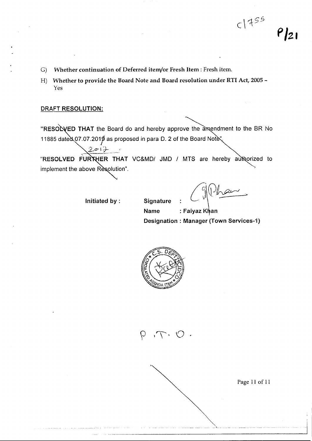- G) Whether continuation of Deferred item/or Fresh Item: Fresh item.
- H) Whether to provide the Board Note and Board resolution under RTI Act, 2005 -Yes

#### DRAFT RESOLUTION:

"RESOLVED THAT the Board do and hereby approve the amendment to the BR No 11885 dated 07.07.2019 as proposed in para D. 2 of the Board Note".

implement the above Resolution". "RESOLVED FURTHER THAT VC&MD/ JMD / MTS are hereby authorized to

Initiated by :

フェロー

**Signature** 

. ( Main

Name : Faiyaz Khan Designation: Manager (Town Services-1)

-..------~------------------------\_\_\_j



Page 11 of 11

*P/Z1*

 $C1455$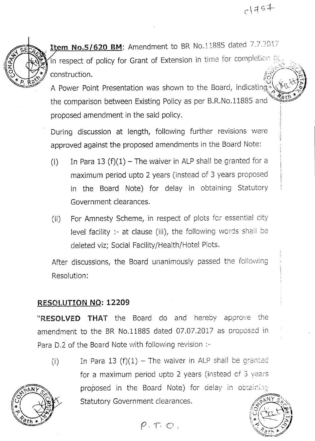

**Item No.5/620 BM:** Amendment to BR No.11885 dated 7.7.2017 in respect of policy for Grant of Extension in time for completion of construction.

A Power Point Presentation was shown to the Board, indicating the comparison between Existing Policy as per B.R.No.11885 and proposed amendment in the said policy.

During discussion at length, following further revisions were approved against the proposed amendments in the Board Note:

- (i) In Para 13 (f)(1) The waiver in ALP shall be granted for a maximum period upto 2 years (instead of 3 years proposed in the Board Note) for delay in obtaining Statutory Government clearances.
- (ii) For Amnesty Scheme, in respect of plots *fer* essential city level facility :- at clause (iii), the following words shall be deleted viz; Social Facility/Health/Hotel Plots.

After discussions, the Board unanimously passed the following Resolution:

# **RESOLUTION NO: 12209**

**"RESOLVED THAT** the Board do and hereby approve the amendment to the BR No.11885 dated 07.07.2017 as proposed in Para D,2 of the Board Note with following revision :-

(i) In Para 13  $(f)(1)$  - The waiver in ALP shall be granted for a maximum period upto 2 years (instead of 3 years proposed in the Board Note) for delay in obtaining Statutory Government clearances.



 $P.T.O.$